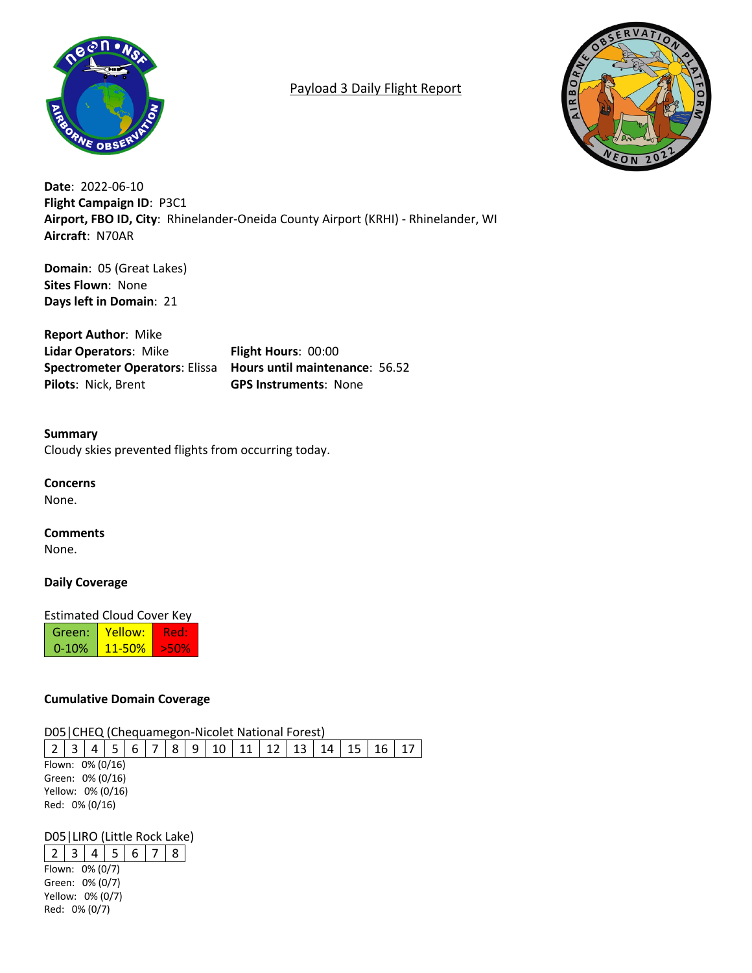

# Payload 3 Daily Flight Report



**Date**: 2022-06-10 **Flight Campaign ID**: P3C1 **Airport, FBO ID, City**: Rhinelander-Oneida County Airport (KRHI) - Rhinelander, WI **Aircraft**: N70AR

**Domain**: 05 (Great Lakes) **Sites Flown**: None **Days left in Domain**: 21

**Report Author**: Mike **Lidar Operators**: Mike **Flight Hours**: 00:00 **Spectrometer Operators**: Elissa **Hours until maintenance**: 56.52 **Pilots**: Nick, Brent **GPS Instruments**: None

**Summary** Cloudy skies prevented flights from occurring today.

**Concerns**

None.

**Comments** None.

**Daily Coverage**

Estimated Cloud Cover Key

Green: 0-10% Yellow: 11-50% Red: >50%

# **Cumulative Domain Coverage**

D05|CHEQ (Chequamegon-Nicolet National Forest)

2 3 4 5 6 7 8 9 10 11 12 13 14 15 16 17 Flown: 0% (0/16) Green: 0% (0/16) Yellow: 0% (0/16) Red: 0% (0/16)

# D05|LIRO (Little Rock Lake)

 $2 \mid 3 \mid 4 \mid 5 \mid 6 \mid 7 \mid 8$ Flown: 0% (0/7) Green: 0% (0/7) Yellow: 0% (0/7) Red: 0% (0/7)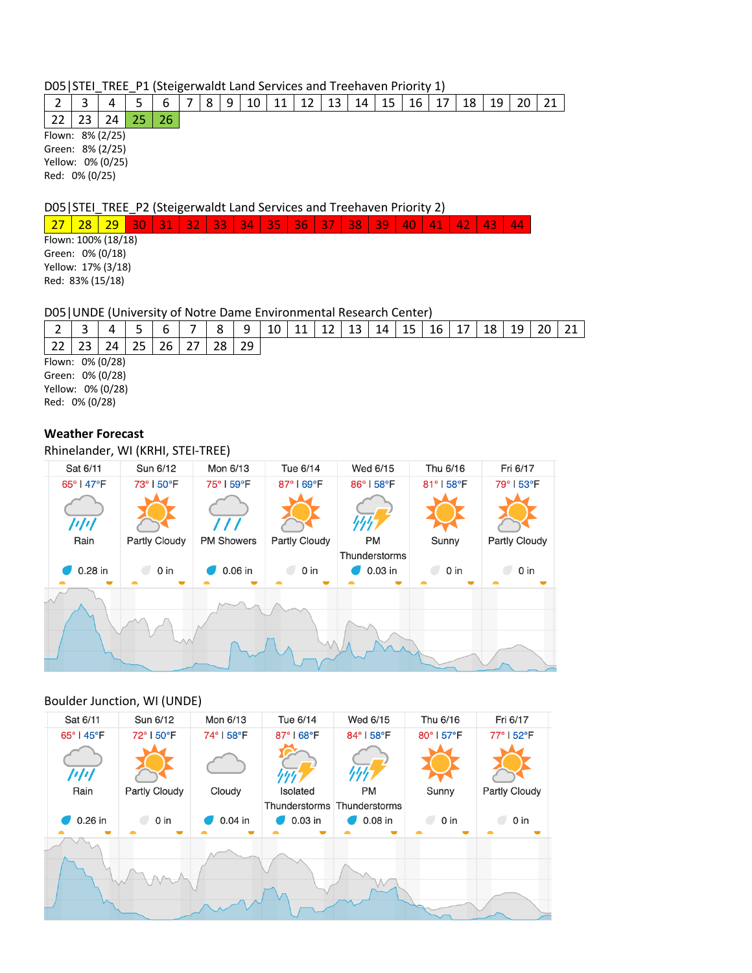## D05|STEI\_TREE\_P1 (Steigerwaldt Land Services and Treehaven Priority 1)

|                                           |  |  |  |  |  |  |  |  | 2   3   4   5   6   7   8   9   10   11   12   13   14   15   16   17   18   19   20   21 |  |
|-------------------------------------------|--|--|--|--|--|--|--|--|-------------------------------------------------------------------------------------------|--|
| $22 \mid 23 \mid 24 \mid 25 \mid 26 \mid$ |  |  |  |  |  |  |  |  |                                                                                           |  |

Flown: 8% (2/25) Green: 8% (2/25) Yellow: 0% (0/25) Red: 0% (0/25)

## D05|STEI\_TREE\_P2 (Steigerwaldt Land Services and Treehaven Priority 2)

<mark>27 | 28 | 29 | 30 | 31 | 32 | 33 | 34 | 35 | 36 | 37 | 38 | 39 | 40 | 41 | 42 | 43 | 44</mark>

Flown: 100% (18/18) Green: 0% (0/18) Yellow: 17% (3/18) Red: 83% (15/18)

## D05|UNDE (University of Notre Dame Environmental Research Center)

|                   | ∽  |    |    |    |  | $\circ$ | 9  | 10 | 11 | 12 | 13 | 14 | 15 | 16 | 18 | 19 |  |  |
|-------------------|----|----|----|----|--|---------|----|----|----|----|----|----|----|----|----|----|--|--|
|                   | วว | 24 | 25 | 26 |  | 28      | 29 |    |    |    |    |    |    |    |    |    |  |  |
| Flown: 0% (0/28)  |    |    |    |    |  |         |    |    |    |    |    |    |    |    |    |    |  |  |
| Green: 0% (0/28)  |    |    |    |    |  |         |    |    |    |    |    |    |    |    |    |    |  |  |
| Yellow: 0% (0/28) |    |    |    |    |  |         |    |    |    |    |    |    |    |    |    |    |  |  |

Red: 0% (0/28)

## **Weather Forecast**

Rhinelander, WI (KRHI, STEI-TREE)

| Sat 6/11      | Sun 6/12      | Mon 6/13          | Tue 6/14      | Wed 6/15      | Thu 6/16              | Fri 6/17      |
|---------------|---------------|-------------------|---------------|---------------|-----------------------|---------------|
| 65°   47°F    | 73°   50°F    | 75° I 59°F        | 87°   69°F    | 86°   58°F    | 81°   58°F            | 79°153°F      |
| 1/1/1<br>Rain | Partly Cloudy | <b>PM Showers</b> | Partly Cloudy | <b>PM</b>     | Sunny                 | Partly Cloudy |
|               |               |                   |               | Thunderstorms |                       |               |
| 0.28 in       | $0$ in        | 0.06 in           | 0 in          | 0.03 in       | 0 <sub>in</sub><br>C. | $0$ in        |
|               |               |                   |               |               |                       |               |

## Boulder Junction, WI (UNDE)